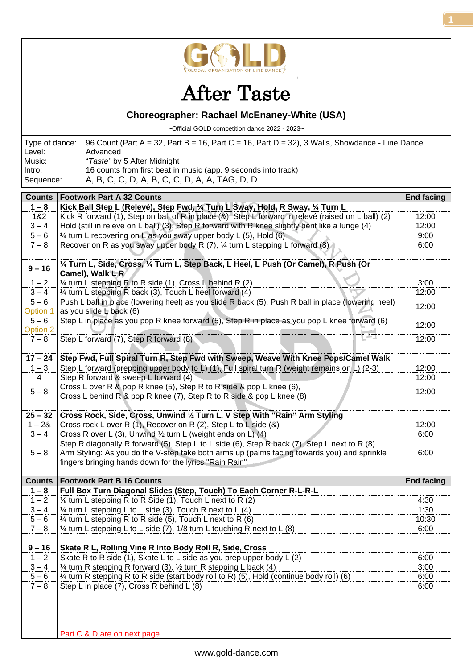

## After Taste

## **Choreographer: Rachael McEnaney-White (USA)**

~Official GOLD competition dance 2022 - 2023~

|           | Type of dance: 96 Count (Part A = 32, Part B = 16, Part C = 16, Part D = 32), 3 Walls, Showdance - Line Dance |
|-----------|---------------------------------------------------------------------------------------------------------------|
| Level:    | Advanced                                                                                                      |
| Music:    | "Taste" by 5 After Midnight                                                                                   |
| Intro:    | 16 counts from first beat in music (app. 9 seconds into track)                                                |
| Sequence: | A, B, C, C, D, A, B, C, C, D, A, A, TAG, D, D                                                                 |

| <b>Counts</b>       | <b>Footwork Part A 32 Counts</b>                                                                                              | <b>End facing</b> |
|---------------------|-------------------------------------------------------------------------------------------------------------------------------|-------------------|
| $1 - 8$             | Kick Ball Step L (Relevé), Step Fwd, 1/4 Turn L Sway, Hold, R Sway, 1/4 Turn L                                                |                   |
| 1&2                 | Kick R forward (1), Step on ball of R in place (&), Step L forward in relevé (raised on L ball) (2)                           | 12:00             |
| $3 - 4$             | Hold (still in releve on L ball) (3), Step R forward with R knee slightly bent like a lunge (4)                               | 12:00             |
| $5 - 6$             | 1/4 turn L recovering on L as you sway upper body L (5), Hold (6)                                                             | 9:00              |
| $7 - 8$             | Recover on R as you sway upper body R $(7)$ , $\frac{1}{4}$ turn L stepping L forward $(8)$                                   | 6:00              |
|                     |                                                                                                                               |                   |
| $9 - 16$            | 1/4 Turn L, Side, Cross, 1/4 Turn L, Step Back, L Heel, L Push (Or Camel), R Push (Or<br>Camel), Walk L <sub>R</sub>          |                   |
| $1 - 2$             | 1/4 turn L stepping R to R side (1), Cross L behind R (2)                                                                     | 3:00              |
| $3 - 4$             | 1/4 turn L stepping R back (3), Touch L heel forward (4)                                                                      | 12:00             |
| $5 - 6$<br>Option 1 | Push L ball in place (lowering heel) as you slide R back (5), Push R ball in place (lowering heel)<br>as you slide L back (6) | 12:00             |
| $5 - 6$<br>Option 2 | Step L in place as you pop R knee forward (5), Step R in place as you pop L knee forward (6)                                  | 12:00             |
| $7 - 8$             | Step L forward (7), Step R forward (8)                                                                                        | 12:00             |
| $17 - 24$           | Step Fwd, Full Spiral Turn R, Step Fwd with Sweep, Weave With Knee Pops/Camel Walk                                            |                   |
| $1 - 3$             | Step L forward (prepping upper body to L) (1), Full spiral turn R (weight remains on L) (2-3)                                 | 12:00             |
| $\overline{4}$      | Step R forward & sweep L forward (4)                                                                                          | 12:00             |
|                     | Cross L over R & pop R knee (5), Step R to R side & pop L knee (6),                                                           |                   |
| $5 - 8$             | Cross L behind R & pop R knee (7), Step R to R side & pop L knee (8)                                                          | 12:00             |
|                     |                                                                                                                               |                   |
| $25 - 32$           | Cross Rock, Side, Cross, Unwind 1/2 Turn L, V Step With "Rain" Arm Styling                                                    |                   |
| $1 - 28$            | Cross rock L over R (1), Recover on R (2), Step L to L side (&)                                                               | 12:00             |
| $3 - 4$             | Cross R over L (3), Unwind 1/2 turn L (weight ends on L) (4)                                                                  | 6:00              |
|                     | Step R diagonally R forward (5), Step L to L side (6), Step R back (7), Step L next to R (8)                                  |                   |
| $5 - 8$             | Arm Styling: As you do the V-step take both arms up (palms facing towards you) and sprinkle                                   | 6:00              |
|                     | fingers bringing hands down for the lyrics "Rain Rain"                                                                        |                   |
|                     |                                                                                                                               |                   |
| <b>Counts</b>       | <b>Footwork Part B 16 Counts</b>                                                                                              | <b>End facing</b> |
| $1 - 8$             | Full Box Turn Diagonal Slides (Step, Touch) To Each Corner R-L-R-L                                                            |                   |
| $1 - 2$             | 1/8 turn L stepping R to R Side (1), Touch L next to R (2)                                                                    | 4:30              |
| $3 - 4$             | $\frac{1}{4}$ turn L stepping L to L side (3), Touch R next to L (4)                                                          | 1:30              |
| $5 - 6$             | $\frac{1}{4}$ turn L stepping R to R side (5), Touch L next to R (6)                                                          | 10:30             |
| $7 - 8$             | 1/4 turn L stepping L to L side (7), 1/8 turn L touching R next to L (8)                                                      | 6:00              |
| $9 - 16$            | Skate R L, Rolling Vine R Into Body Roll R, Side, Cross                                                                       |                   |
| $1 - 2$             | Skate R to R side (1), Skate L to L side as you prep upper body L (2)                                                         | 6:00              |
| $3 - 4$             | 1/4 turn R stepping R forward (3), 1/2 turn R stepping L back (4)                                                             | 3:00              |
| $5 - 6$             | 1/4 turn R stepping R to R side (start body roll to R) (5), Hold (continue body roll) (6)                                     | 6:00              |
| $7 - 8$             | Step L in place (7), Cross R behind L (8)                                                                                     | 6:00              |
|                     |                                                                                                                               |                   |
|                     |                                                                                                                               |                   |
|                     |                                                                                                                               |                   |
|                     |                                                                                                                               |                   |
|                     | Part C & D are on next page                                                                                                   |                   |